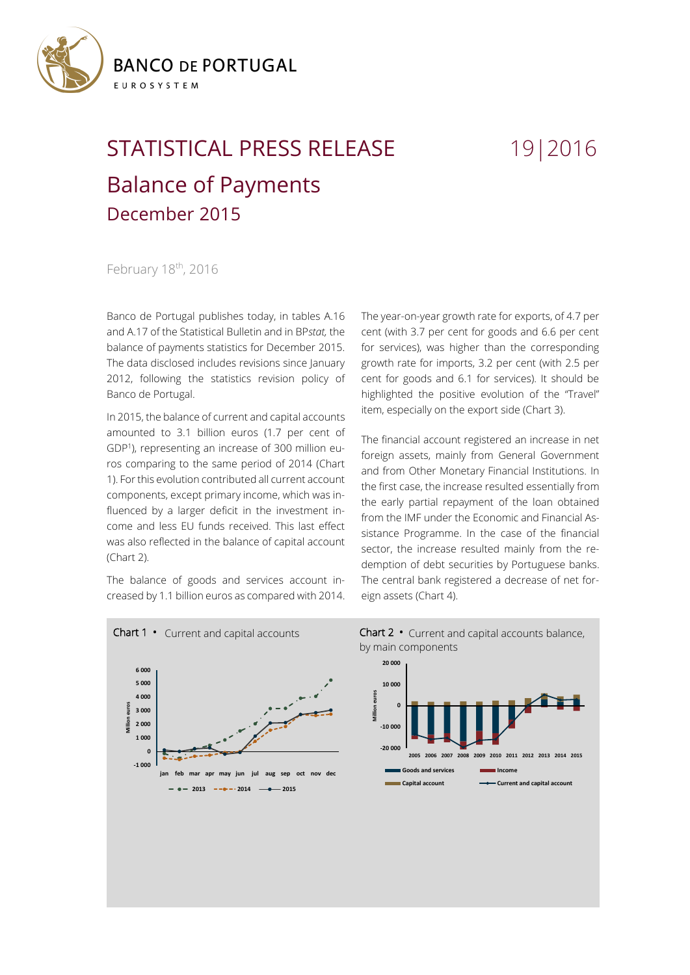

## STATISTICAL PRESS RELEASE 19|2016 Balance of Payments December 2015

February 18<sup>th</sup>, 2016

Banco de Portugal publishes today, in tables A.16 and A.17 of the Statistical Bulletin and in BP*stat,* the balance of payments statistics for December 2015. The data disclosed includes revisions since January 2012, following the statistics revision policy of Banco de Portugal.

In 2015, the balance of current and capital accounts amounted to 3.1 billion euros (1.7 per cent of GDP<sup>1</sup> ), representing an increase of 300 million euros comparing to the same period of 2014 (Chart 1). Forthis evolution contributed all current account components, except primary income, which was influenced by a larger deficit in the investment income and less EU funds received. This last effect was also reflected in the balance of capital account (Chart 2).

The balance of goods and services account increased by 1.1 billion euros as compared with 2014. The year-on-year growth rate for exports, of 4.7 per cent (with 3.7 per cent for goods and 6.6 per cent for services), was higher than the corresponding growth rate for imports, 3.2 per cent (with 2.5 per cent for goods and 6.1 for services). It should be highlighted the positive evolution of the "Travel" item, especially on the export side (Chart 3).

The financial account registered an increase in net foreign assets, mainly from General Government and from Other Monetary Financial Institutions. In the first case, the increase resulted essentially from the early partial repayment of the loan obtained from the IMF under the Economic and Financial Assistance Programme. In the case of the financial sector, the increase resulted mainly from the redemption of debt securities by Portuguese banks. The central bank registered a decrease of net foreign assets (Chart 4).